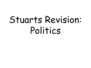# Stuarts Revision: Politics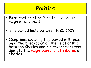- First section of politics focuses on the reign of Charles I.
- This period lasts between 1625-1629.
- Questions covering this period will focus on if the breakdown of the relationship between Charles and his government was down to the reign/personal attributes of Charles I.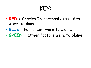- **RED** = Charles I's personal attributes were to blame
- **BLUE** = Parliament were to blame
- **GREEN** = Other factors were to blame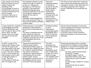| Upon coming to the throne,<br>Charles I found he had an<br>empty treasury and<br>dwindling credit.<br>He did manage to secure a<br>£60,000 loan from City of<br>London merchants but this<br>was not enough.<br>He had no choice but to<br>approach parliament for<br>help.                                                                  | The Commons refused to grant<br>Charles the right to collect an<br>excise tax, Tonnage and<br>Poundage, for life (this was<br>because of the disastrous<br>Mansfield Campaign where<br>troops had been left to die from<br>the ravages of weather and<br>disease on the coast of<br>Belgium).<br>Parliament instead suggested a<br>grant that would last a year or<br>two and then another parliament<br>could be called. | There was<br>additional pressure<br>on Charles on<br>account of his wife,<br>Henrietta Maria<br>being Catholic.<br>Charles also<br>promoted the<br>Arminian faith and<br>some of their<br>practices bore a<br>resemblance to the<br>Catholic faith. | The threat of war meant that troops had<br>been conscripted and billeting was forced<br>on people of troops in their own homes at a<br>time when people were still trying to<br>recover financially from an outbreak the<br>plague.                                                                                                                                                                                                                                      |
|----------------------------------------------------------------------------------------------------------------------------------------------------------------------------------------------------------------------------------------------------------------------------------------------------------------------------------------------|---------------------------------------------------------------------------------------------------------------------------------------------------------------------------------------------------------------------------------------------------------------------------------------------------------------------------------------------------------------------------------------------------------------------------|-----------------------------------------------------------------------------------------------------------------------------------------------------------------------------------------------------------------------------------------------------|--------------------------------------------------------------------------------------------------------------------------------------------------------------------------------------------------------------------------------------------------------------------------------------------------------------------------------------------------------------------------------------------------------------------------------------------------------------------------|
| A naval expedition, organised<br>by Buckingham and led by<br>Viscount Wimbledon, was<br>sent to Cadiz in Spain at the<br>end of 1625. This was<br>another failure as troops<br>were poorly trained and<br>equipped.                                                                                                                          | Charles decision to call another<br>parliament in 1626 showed a<br>serious lack of awareness on his<br>part.<br>The issue of subsidies was set<br>aside, instead an attack on<br>Buckingham was launched by the<br>Commons, Lords and court rivals<br>who Buckingham had driven<br>from office.                                                                                                                           | Parliament wanted<br>to start<br>impeachment<br>proceedings against<br>Buckingham and in<br>order to stop this<br>Charles dissolved<br>parliament.                                                                                                  | Charles instead demanded a forced loan<br>from all taxpayers and refusal to pay would<br>lead to imprisonment or forced<br>conscription into military service.<br>Lord Chief Justice Carew refused to<br>endorse the legality of the loan and was<br>dismissed.                                                                                                                                                                                                          |
| In 1627 a group of five<br>knights who refused to pay<br>the loan (through taxes)<br>were imprisoned, they sued<br>for release under habeas<br>corpus. They were refused<br>to go to court because the<br>king claimed he had a right<br>to emergency power of<br>arrest. The first<br>confrontation in 1628 was<br>the 'Five Knights case'. | The second confrontation in<br>1628 was when Charles<br>summoned parliament again as<br>there was now a desperate need<br>for funds for national defence.<br>The attack on Cadiz was<br>followed by a deterioration of<br>relationships with the other<br>Catholic power, France.<br>Buckingham's actions had led to<br>war (England was now at war<br>with both France and Spain).                                       | This time<br>parliament was<br>aware that another<br>attack on<br>Buckingham could<br>lead to dissolution<br>so went for a more<br>subtle strategy.<br>The Commons voted<br>for a total of five<br>subsidies in<br>taxations.                       | Charles was presented with a carefully<br>worded Petition of Rights from Parliament<br>asking him to review the Five Knights case.<br>The Petition of Right contained four main<br>points:<br>No taxes could be levied without<br>Parliament's consent.<br>No English subject could be<br>imprisoned without cause--thus<br>reinforcing the right of habeas<br>corpus.<br>No quartering of soldiers in citizens<br>homes.<br>No martial law may be used in<br>peacetime. |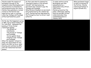| Charles ended the session of<br>parliament because of the<br>complaints about Buckingham and<br>the promotion of Arminians he<br>had promoted within the church.<br>Charles then published a revised<br>version of the Petition and<br>asserted his right to continue<br>collecting Tonnage and Poundage<br>without parliamentary grant.                                                                                                                                                             | He then used what he deemed his<br>"emergency powers in the national<br>interest" and imprisoned any<br>merchants who refused to pay the<br>Tonnage and Poundage.<br>When Richard Chambers (a merchant)<br>was granted bail by the common law<br>court, Charles had him imprisoned by<br>the Prerogative Court on direct royal<br>authority. | To make matters worse<br>Buckingham was then<br>assassinated by a<br>disgruntled army officer,<br>John Felton.<br>Charles grieved but the<br>public celebrated, lighting<br>bonfires and MPs further<br>celebrated when they<br>reassembled (met) in<br>January 1629. | When parliament began<br>to look at breaches of<br>the Petition Charles<br>ordered parliament to<br>adjourn (break off). |
|------------------------------------------------------------------------------------------------------------------------------------------------------------------------------------------------------------------------------------------------------------------------------------------------------------------------------------------------------------------------------------------------------------------------------------------------------------------------------------------------------|----------------------------------------------------------------------------------------------------------------------------------------------------------------------------------------------------------------------------------------------------------------------------------------------------------------------------------------------|-----------------------------------------------------------------------------------------------------------------------------------------------------------------------------------------------------------------------------------------------------------------------|--------------------------------------------------------------------------------------------------------------------------|
| On the day this happened a group<br>of MPs, led by Denzil Holles and<br>Sir John Eliot, demanded the<br>passing of three formal<br>resolutions against:<br>$\cdot$ The growth of<br>Arminianism,<br>. The levying of Tonnage<br>and Poundage,<br>.Action against those<br>refusing to pay Tonnage<br>and Poundage.<br>When the Speaker refused to<br>delay the adjournment he was<br>held in his chair by force, amid<br>shouting and confusion by MPs,<br>until the resolutions had been<br>passed. |                                                                                                                                                                                                                                                                                                                                              |                                                                                                                                                                                                                                                                       |                                                                                                                          |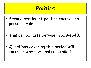- Second section of politics focuses on personal rule.
- This period lasts between 1629-1640.

• Questions covering this period will focus on why personal rule failed.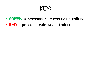- **GREEN** = personal rule was not a failure
- **RED** = personal rule was a failure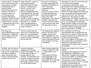| Under James I, the Royal<br>Court had lost structure<br>and become extremely<br>unwholesome due to<br>sexual scandal,<br>favouritism and murder.<br>Charles I decided to<br>restore order by re-<br>introducing morals,<br>manners and general<br>etiquette. Charles wanted<br>the Royal Court to be the<br>model of moral restraint<br>- establishing royal virtue<br>at the heart of the<br>kingdom. | Under Charles I, access to<br>the King was severely<br>restricted, whereas under<br>James I it had become a<br>free-for-all with court<br>jesters, dwarves and<br>American Indians providing<br>entertainment for the many<br>people who wandered freely<br>through the court.<br>Charles I's sense of dignity<br>led to greater formality. The<br>King was to be a remote<br>figure, safeguarded by a<br>strict formal hierarchy and<br>proper etiquette. | Access to the King was<br>strictly regulated by the<br>sequence of chambers at<br>court, becoming<br>progressively more<br>exclusive.<br>Only the princes of blood<br>or King's personal body<br>servants attended the<br>King in the royal<br>bedchamber. The Presence<br>Chamber contained the<br>throne, which was treated<br>with reverence even when<br>the King was not there. | One aspect of court life which also drew<br>in criticisms were masques.<br>A masque was a spectacular stage<br>performance that combined elements of<br>theatre, opera and ballet. The content was<br>usually based on a story from ancient<br>history. In these masques the theme was<br>clear: the aristocracy had power which<br>came from the fact that they were<br>nobility born. The stages for these<br>masques were extravagant and used the<br>latest technology - clearly costing a lot of<br>put on. In the masques the King and<br>Queen would be shown as the hero/God<br>and angel who would float from the sky<br>and land on Earth, bringing peace and<br>order to world full of troubles. |
|--------------------------------------------------------------------------------------------------------------------------------------------------------------------------------------------------------------------------------------------------------------------------------------------------------------------------------------------------------------------------------------------------------|------------------------------------------------------------------------------------------------------------------------------------------------------------------------------------------------------------------------------------------------------------------------------------------------------------------------------------------------------------------------------------------------------------------------------------------------------------|--------------------------------------------------------------------------------------------------------------------------------------------------------------------------------------------------------------------------------------------------------------------------------------------------------------------------------------------------------------------------------------|-------------------------------------------------------------------------------------------------------------------------------------------------------------------------------------------------------------------------------------------------------------------------------------------------------------------------------------------------------------------------------------------------------------------------------------------------------------------------------------------------------------------------------------------------------------------------------------------------------------------------------------------------------------------------------------------------------------|
| The King's law<br>enforcement powers were<br>formidable. He appointed<br>all the judges, and could<br>expect verdicts in his<br>favour.                                                                                                                                                                                                                                                                | The Privy Council had the<br>authority to investigate any<br>aspect of local government<br>structure, appointing in each<br>county the Lord Lieutenants<br>and the sheriffs.                                                                                                                                                                                                                                                                               | The King was the Supreme<br>Head of the Church of<br>England, whose courts<br>were responsible for the<br>enforcement of family law<br>and for punishing offences<br>such as adultery and non-<br>attendance.                                                                                                                                                                        | JPs, constables, sheriffs and<br>churchwardens were all unpaid officials.<br>Which led to a culture of discretion and<br>mediation permeated the administration<br>of justice and government.<br>Also, in the absence of Parliament, the<br>only way the King could 'legislate' was to<br>ensure that existing laws were<br>reinterpreted to achieve new versions of<br>the old laws.                                                                                                                                                                                                                                                                                                                       |
| In 1630, the Civil Service<br>did not exist, so Charles<br>had to rely on unpaid local<br>officials to uphold his<br>laws. Charles and local<br>officers used persuasion,<br>rather than coercion.                                                                                                                                                                                                     | Local officials were<br>landowners and Charles<br>needed their support to rule<br>as they had the task of<br>raising funds for him.<br>However, the landowners did<br>not want to upset the people<br>within their communities as<br>the people worked for them.<br>This frustrated Charles.                                                                                                                                                               | When Charles signed the<br>Treaty of Madrid in 1630<br>it ended hostility with<br>Spain.<br>This would end Charles<br>annual spending on war<br>from $£500,000$ in the<br>years 1625-29 to less than<br>£70,000 in the 1630s.                                                                                                                                                        | Charles now focused on his Crowns<br>finance;<br>reorganising the management of Crown<br>land, adding new impositions to the<br>collection of Tonnage and Poundage,<br>reviving the number of feudal payments<br>(such as fines for building on or<br>encroaching on royal forests), selling<br>monopoly licences was revived i.e. on soap,<br>and most controversially the<br>establishment of an annual levy of Ship<br>Money (worth £200,000 a year).                                                                                                                                                                                                                                                    |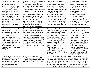| Ship Money was not new, it<br>was intended for the upkeep<br>of the navy and most<br>monarchs had levied it once<br>or twice during their reign.<br>In 1634 when it was first<br>introduced it was collected<br>in the traditional manner,<br>from counties that lined the<br>coast, and provoked little<br>comment. In 1635 it was<br>repeated but collected from<br>inland counties.<br>By 1636 Charles had<br>introduced it as an annual<br>tax! | Ship Money as an annual tax led to<br>Charles no longer being dependant<br>on parliament for grants. There<br>was now a fear that parliaments<br>would not survive. Charles also<br>used other financial methods such<br>as 'distraint* of knighthood'. A<br>medieval custom where those with<br>land worth over £40 per annum<br>were expected to be knighted by<br>the monarch. More than 9,000<br>were charged for failing to attend<br>Charles coronation. Despite a<br>brief campaign against this the<br>Exchequer judges supported<br>Charles right to collect this tax. | Most of those opposing Charles<br>new financial measures also had<br>strong Puritan connections<br>which meant they were also<br>unhappy about church reforms.<br>Laud, now a prominent Arminian<br>appointed by Charles as<br>Archbishop of Canterbury in<br>1633, believed in; strict<br>adherence to rules and that<br>bishops controlled the clergy<br>and the clergy controlled the<br>laity*. However, this did not fit<br>in with the Puritan emphasis on<br>individual prayer and preaching. | Those ministers not adhering<br>to Lauds demands were<br>brought before the court<br>and could be deprived of<br>their livings.<br>Puritan gentry could no<br>longer buy the right to<br>appoint their own ministers<br>or collect tithes (which<br>formed their salaries).<br>Although many clergy were<br>not forced out during the<br>1630s many chose instead to<br>emigrate to Puritan colonies<br>of New England in America.                                        |
|-----------------------------------------------------------------------------------------------------------------------------------------------------------------------------------------------------------------------------------------------------------------------------------------------------------------------------------------------------------------------------------------------------------------------------------------------------|---------------------------------------------------------------------------------------------------------------------------------------------------------------------------------------------------------------------------------------------------------------------------------------------------------------------------------------------------------------------------------------------------------------------------------------------------------------------------------------------------------------------------------------------------------------------------------|------------------------------------------------------------------------------------------------------------------------------------------------------------------------------------------------------------------------------------------------------------------------------------------------------------------------------------------------------------------------------------------------------------------------------------------------------------------------------------------------------|---------------------------------------------------------------------------------------------------------------------------------------------------------------------------------------------------------------------------------------------------------------------------------------------------------------------------------------------------------------------------------------------------------------------------------------------------------------------------|
| Charles had created a well<br>organised court with an<br>emphasis on hierarchy and<br>ceremony. This was intended<br>to instil respect for<br>monarchy as well as the<br>religious roots of his power.<br>Churches were decorated<br>with statues and colour and<br>organs were restored. The<br>altar was moved so<br>traditional communion could<br>take place.                                                                                   | As well as Charles most loyal<br>servants, Laud and Wentworth,<br>the Queens most loyal servants<br>also became increasingly<br>influential. Queen Henrietta<br>Maria had her own Catholic chapel<br>and encouraged others, including<br>her own children to partake in<br>Catholic worship. From 1635<br>Charles even welcomed to his<br>court an ambassador of the Pope.                                                                                                                                                                                                      | Charles tried to tell Scotland<br>how their churches should look<br>and practices to be followed -<br>as practised in England.<br>Charles introduced the English<br>Prayer Book to Scotland.<br>Charles went to war against<br>Scotland over his religious<br>changes but could not win the<br>war so signed the Treaty of<br>Berwick in 1639 - ending the<br>First Bishops' War.<br>People were unhappy with<br>funding Charles' war so<br>taxpayers went on 'strike' from<br>1639-40.              | Charles asked his good<br>friend Wentworth (who he<br>had made Earl of Strafford)<br>for advice - who told him to<br>call Parliament - to gain<br>money to fund his war with<br>Scotland.<br>Charles called Parliament and<br>met with them in April 1640.<br>To gain money, it was clear<br>that Charles needed to<br>negotiate and this Short<br>Parliament that he met with<br>had many petitions they<br>wanted to present regarding<br>his years of 'personal rule'. |
| However, Charles demanded<br>money, Parliament started<br>debating various issues<br>which Charles did not want<br>to hear so he dissolved<br>Parliament after only 3<br>weeks.                                                                                                                                                                                                                                                                     | After this Charles gathered<br>together a poorly organised &<br>equipped army to fight a Second<br>Bishops' War against the Scottish.                                                                                                                                                                                                                                                                                                                                                                                                                                           | Charles' forces were defeated by the Scots at the Battle of<br>Newburn, near Newcastle. As a result he was forced to sign the<br>Treaty of Ripon in Oct 1640 which made him pay the Scottish<br>£850 a day whilst they occupied Newcastle. After dismissing<br>Parliament after 3 weeks he tried to solve his problems on his<br>own but failed. After 6 months he accepted he could no longer<br>rule without Parliament's help, so he called to meet them.                                         |                                                                                                                                                                                                                                                                                                                                                                                                                                                                           |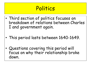- Third section of politics focuses on breakdown of relations between Charles I and government again.
- This period lasts between 1640-1649.
- Questions covering this period will focus on why their relationship broke down.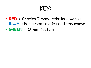- **RED** = Charles I made relations worse **BLUE** = Parliament made relations worse
- **GREEN** = Other factors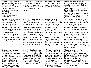| When the Long Parliament<br>met in November 1640, John<br>Pym (an MP & leading<br>Puritan) and his allies were<br>ready to seize the<br>opportunity they had waited<br>for so long.<br>The group that led the<br>opposition was known as<br>'Pym's Junto'*.                                                                                                                                                                    | In February 1641, Parliament<br>introduced the Triennial Act<br>which laid down an obligation<br>for Charles to call a Parliament<br>at least once every three<br>years.                                                                                                                                                                                                                                                                                                                                            | The first months of the<br>Long Parliament saw the<br>arrest and impeachments<br>of Laud and Strafford.                                                                                                                                                                                                                                                                                                                                                          | Strafford was put on trial in 1641,<br>but to be found guilty of treason he<br>would have to be tried in the House<br>of Lords.<br>The King assured Strafford that no<br>harm would come to him, regardless<br>of the verdict.<br>Parliament began Strafford's trial on<br>March 22 <sup>nd</sup> 1641, hoping that he was<br>going to be found quilty.                                                                                                                                                                                                                                                                                                                |
|--------------------------------------------------------------------------------------------------------------------------------------------------------------------------------------------------------------------------------------------------------------------------------------------------------------------------------------------------------------------------------------------------------------------------------|---------------------------------------------------------------------------------------------------------------------------------------------------------------------------------------------------------------------------------------------------------------------------------------------------------------------------------------------------------------------------------------------------------------------------------------------------------------------------------------------------------------------|------------------------------------------------------------------------------------------------------------------------------------------------------------------------------------------------------------------------------------------------------------------------------------------------------------------------------------------------------------------------------------------------------------------------------------------------------------------|------------------------------------------------------------------------------------------------------------------------------------------------------------------------------------------------------------------------------------------------------------------------------------------------------------------------------------------------------------------------------------------------------------------------------------------------------------------------------------------------------------------------------------------------------------------------------------------------------------------------------------------------------------------------|
| The underlying theme of the<br>trial was that Strafford had<br>committed treason by<br>creating division between<br>the King and his government.<br>The prosecution argued that<br>Strafford's actions added up<br>to an attempt to rule the<br>three kingdoms by force.<br>In his defence, Strafford<br>argued that the charges did<br>not amount to high treason.<br>Strafford defended himself<br>and did quite a good job. | As mentioned previously, to be<br>found guilty the House of<br>Lords would have to decide<br>that was the case. However, it<br>soon became clear to<br>Parliament that the House of<br>Lords were reluctant to do so<br>as if they found Strafford<br>guilty then he would have been<br>hanged, drawn and quartered.<br>Some of these same Lords had<br>sat on the Privy Council with<br>Strafford when he had made<br>the decisions he was now on<br>trial for and they had agreed<br>to these decisions with him. | Knowing that the Lords<br>would find him not quilty,<br>as he was one of their own,<br>those in Parliament who<br>hated him resorted to<br>passing the Act of<br>Attainder against<br>Strafford.<br>* Act of Attainder - Is an<br>Act of Parliament that<br>effectively acts as a death<br>warrant. The Act only<br>required a suspicion of<br>quilt, and, as long as it was<br>passed by both Houses and<br>signed by the monarch, so<br>no trial was required. | To secure the use of the Act, Pym<br>revealed the existence of a plot by<br>Catholic army officers, with support<br>from the King were plotting to<br>release Strafford and dissolve<br>Parliament by force. This became<br>known as the First Army Plot and was<br>followed by another at the end of<br>1641 aimed at bolstering support for<br>Charles. An angry mob surrounded<br>Parliament after the Act of<br>Attainder was passed, and Charles,<br>who had promised to protect<br>Strafford, was compelled to sign his<br>death warrant. At the same time, Pym<br>secured another Act against the<br>Dissolution of this Parliament without<br>its Own Consent. |
| To ensure there were no<br>further threats to<br>Parliament, they threatened<br>to impeach any<br>sheriff/customs officer who<br>collected Ship Money or<br>Tonnage and Poundage.<br>This led to many of his<br>advisors leaving King's court<br>to their country homes or<br>actually leaving the country.                                                                                                                    | Some MPs thought that Pym<br>had gone too far in pursuing<br>Strafford and, when a bill was<br>introduced to exclude bishops<br>from the House of Lords and<br>the establishment of a new<br>Church along Presbyterian<br>lines, clear divisions among MPs<br>started to become clear.                                                                                                                                                                                                                              | After the execution of<br>Strafford, in June 1641<br>Pym then pushed for more<br>constitutional changes,<br>including the abolition of<br>the Prerogative Courts and<br>the Ship Money.<br>But, a middle group of<br>'moderates' emerged in the<br>Commons nicknamed the<br>"Constitutional Royalists".                                                                                                                                                          | The opposition drew up Ten<br>Propositions to be considered by the<br>king and requested he accept them<br>before he left for Scotland to make<br>peace. These propositions included<br>significant extensions of<br>parliamentary power, such as the<br>right to approve the king's advisers<br>and measures to protect themselves<br>from royal vengeance.                                                                                                                                                                                                                                                                                                           |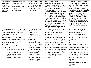| By September the situation reached<br>a stalemate - Charles began to<br>negotiate.<br>He appointed leading Puritans to his<br>government so he was not<br>surrounded by "evil" advisors<br>anymore.                                                                                                                                                                                                                                                                                                                                      | Pym still did not trust<br>Charles but as the King<br>continued to negotiate,<br>it made it harder for<br>Pym to call for even<br>more changes.                                                                                                                                                                                                                                                                                                            | The MPs returned to<br>Westminster in October and<br>they were greeted by growing<br>rumours of a rising among Irish<br>Catholics and attacks n<br>Protestant settlers there.<br>Rumours developed into tales of<br>massacre resulting in 200,000<br>deaths, and the landing of an<br>Irish army in north-west England.<br>Even though the reality was only<br>a few thousand deaths the tales<br>of a rise in an Irish threat,<br>Catholicism and a mistrust in<br>Charles led to mass panic<br>amongst the English population.                                            | Despite the panic in England<br>Charles remained in Scotland<br>until November (negotiating a<br>peace deal).<br>In his absence Parliament<br>decided that an army should be<br>raised to tackle the rebellion.<br>However, there were fears<br>that an army might be used by<br>Charles against Parliament.<br>Pym devised a plan to unite the<br>House of Commons behind a<br>demand that Parliament should<br>be allowed to approve the<br>King's choice of commander.                                                                                                                                 |
|------------------------------------------------------------------------------------------------------------------------------------------------------------------------------------------------------------------------------------------------------------------------------------------------------------------------------------------------------------------------------------------------------------------------------------------------------------------------------------------------------------------------------------------|------------------------------------------------------------------------------------------------------------------------------------------------------------------------------------------------------------------------------------------------------------------------------------------------------------------------------------------------------------------------------------------------------------------------------------------------------------|-----------------------------------------------------------------------------------------------------------------------------------------------------------------------------------------------------------------------------------------------------------------------------------------------------------------------------------------------------------------------------------------------------------------------------------------------------------------------------------------------------------------------------------------------------------------------------|-----------------------------------------------------------------------------------------------------------------------------------------------------------------------------------------------------------------------------------------------------------------------------------------------------------------------------------------------------------------------------------------------------------------------------------------------------------------------------------------------------------------------------------------------------------------------------------------------------------|
| On 22 November 1641 Pym sent the<br>'Grand Remonstrance', a document<br>that asserted much of what had<br>been included in the Ten<br>Propositions.<br>This document was a review of<br>Charles' reign, stating point by point<br>the evidence for a conspiracy lying<br>at the heart of the King's<br>government.<br>In the Remonstrance, Pym demanded<br>the following;<br>Parliament were to control<br>the King's ministers/<br>Bishops & Catholic peers were<br>to be excluded from the<br>House of Lords.<br>Reform of the Church. | Pym's aim was clear: to<br>attack the royal<br>prerogative & get<br>support from all MP's,<br>even the reluctant<br>ones.<br>MP's voted as to<br>whether to pass or<br>reject the document<br>Pym's strategy worked,<br>the Remonstrance was<br>passed by 159 votes<br>for, to 148 against.<br>After narrowly getting<br>the Remonstrance<br>passed through the<br>House of Commons,<br>Pym decided not to try<br>to get the House of<br>Lords to pass it. | On January 4 <sup>th</sup> 1642, the King<br>attempted to arrest 5 leading<br>members of Parliament (by<br>impeaching them).<br>Charles entered Parliament and<br>demanded the Speaker to point<br>out the Five Members, to which<br>the Speaker responded "May it<br>please Your Majesty, I have<br>neither eyes to see nor tonque to<br>speak".<br>However, the Five Members were<br>not there as they had slipped out<br>of the chamber into a boat, which<br>had taken them down the Thames<br>to a safe house in the City.<br>Charles left Parliament empty<br>handed. | In the days that followed it<br>became clear that Charles had<br>made a huge mistake.<br>With this one move he had<br>undone the growing impression<br>that he was a King who could<br>be trusted.<br>He had tried to resort to<br>force.<br>Support for the King was in<br>ruins.<br>Charles had made it impossible<br>to himself and his Court to<br>remain in London.<br>On January 10 <sup>th</sup> 1642 the King<br>left London for Hampton Court<br>and the Five Members<br>returned to Parliament in<br>triumph.<br>Both sides then started to<br>prepare themselves for the<br>inevitable<br>WAR! |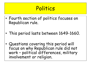- Fourth section of politics focuses on Republican rule.
- This period lasts between 1649-1660.
- Questions covering this period will focus on why Republican rule did not work – political differences, military involvement or religion.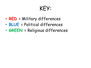- **RED** = Military differences
- **BLUE** = Political differences
- **GREEN** = Religious differences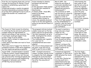| From the very beginning those who carried<br>through the execution of Charles I faced<br>problems in establishing a government to<br>replace him.<br>Ireland was already a royalist stronghold.<br>Scotland immediately proclaimed Charles<br>II as king there (although he was in exile in<br>Holland and wouldn't be crowned until<br>1651).                                                                                                                                                                                 | Ireton intended to dissolve<br>parliament and hold new<br>elections.<br>In the end power simply passed<br>to the MPs who remained at<br>Westminster.<br>4 January 1649 - these MPs,<br>known as the Rump,<br>reassembled.<br>When the few Lords who had<br>remained allies refused to<br>return, the assembly declared<br>itself to be the sole legislative<br>authority and elected Council of<br>State*. | March 1649 - the<br>monarchy and House of<br>Lords were abolished and<br>just two months later<br>England was declared a<br>Commonwealth *.<br>The revolution of 1649<br>was the work of a minority<br>who now needed wider<br>support in order to<br>establish a government.<br>Their first task needed to<br>be the establishment of<br>stability, calm the fears of<br>the men of property and<br>gain confidence. | Unfortunately the<br>main cause of fear<br>was the very army on<br>which the regimes<br>existence depended.<br>During the first two<br>years the army<br>supressed threats<br>from the Levellers<br>and counter the<br>threat from royalists<br>in Ireland and<br>Scotland. |
|--------------------------------------------------------------------------------------------------------------------------------------------------------------------------------------------------------------------------------------------------------------------------------------------------------------------------------------------------------------------------------------------------------------------------------------------------------------------------------------------------------------------------------|------------------------------------------------------------------------------------------------------------------------------------------------------------------------------------------------------------------------------------------------------------------------------------------------------------------------------------------------------------------------------------------------------------|-----------------------------------------------------------------------------------------------------------------------------------------------------------------------------------------------------------------------------------------------------------------------------------------------------------------------------------------------------------------------------------------------------------------------|-----------------------------------------------------------------------------------------------------------------------------------------------------------------------------------------------------------------------------------------------------------------------------|
| The Council of State turned its attention<br>to reforming the law and social justice (for<br>example ending the imprisonment of<br>debtors and ending of high taxation). This,<br>it was hoped, would gain support from<br>across a range of social classes.<br>Greater gentry refused to cooperate with<br>the new regime.<br>Lesser gentry had taken over much of local<br>government.<br>There was a lack of support for Charles II<br>attempted invasion in 1651 which suggested<br>the new regime was gaining acceptance. | The proposed reforms involved<br>complex areas such as the law,<br>these could not be agreed upon.<br>The Hale Commission, set up in<br>1651, investigated the reform<br>of the legal system.<br>This Commission met regularly<br>for a year but its<br>recommendations were never<br>adopted.<br>The rate of reform slowed over<br>the years, from 125 Acts in<br>1649 to just 51 Acts in 1652.           | The need to maintain a<br>large army was a major<br>reason for the<br>continuation of high<br>taxation.<br>Without reliable support<br>from the political nation<br>maintaining the army was<br>essential.<br>However, as long as the<br>army existed the reliable<br>support would not be<br>forthcoming.                                                                                                            | April 1649 - the Rump<br>started selling off<br>Crown land to raise<br>money. But wars in<br>Ireland, Scotland and<br>against the Dutch led<br>to a shortfall of<br>£700,000 in 1653.                                                                                       |
| August 1649 - Cromwell landed in Ireland<br>to supress Catholic royalist sympathisers.<br>He expected a quick victory, but this was<br>only achieved after storming Drogheda and<br>Wexford and controversially slaughtering<br>thousands of defenders and civilians<br>AFTER they had surrendered.                                                                                                                                                                                                                            | 1650 - Cromwell returned to<br>conquer Scotland, leaving Ireton<br>to complete the Irish campaign.<br>Although the Scots had been<br>parliament's allies they had cut<br>ties after the execution of<br>Charles I.                                                                                                                                                                                         | Cromwell was appointed<br>commander-in-chief and in<br>1650 defeated the Scots<br>at Dunbar.<br>A year later Charles led<br>his army south but a<br>disheartened army was<br>defeated by Cromwell in<br>Worcester on 3rd Sept<br>1651.                                                                                                                                                                                | The first Anglo -<br>Dutch War (1652 -<br>54) meant the monthly<br>assessment* had to be<br>raised in order to<br>build warships. The<br>monthly cost alone<br>was £90,000, the<br>same as Charles I's<br>entire annual revenue!                                            |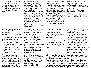| Cromwell dissolved the Rump<br>by force in 1653 due to<br>repressive measure and self<br>seeking by parliament.<br>Cromwell took it upon himself<br>to combine stability and<br>reform.                                                                                                                                                                                                                                              | Since Worcester Cromwell<br>had tried to restrain the<br>demands of the Army. The<br>Rump would not enact the<br>reforms needed and Cromwell<br>grew impatient.<br>The last straw had been when<br>the Rump wanted to hold<br>elections to replace MPs who<br>had been excluded or chosen<br>to stay away. Cromwell<br>believed as soon as this had<br>taken place the strong<br>conservative views of the<br>Rump would put a stop to any<br>new reforms. | After the dissolution of the<br>Rump, Colonel Lambert<br>advised Cromwell to introduce<br>a new constitution. Cromwell<br>asked nominated 'good men'<br>from various churches and<br>radical groups to consider and<br>formulate a government.<br>Cromwell formed a committee<br>of four generals, they asked<br>the Independent Churches to<br>nominate members for a new<br>parliament. They were known<br>as the 'Nominated Assembly'.                                                                    | Once the members had been<br>nominated, the Council of<br>Officers added several more<br>names and then reduced the total<br>down to 140.<br>Even members from Wales,<br>Scotland and Ireland were<br>included.<br>Cromwell told members that they<br>were to answer the call of God.                                                                                                                                                                                                                        |
|--------------------------------------------------------------------------------------------------------------------------------------------------------------------------------------------------------------------------------------------------------------------------------------------------------------------------------------------------------------------------------------------------------------------------------------|------------------------------------------------------------------------------------------------------------------------------------------------------------------------------------------------------------------------------------------------------------------------------------------------------------------------------------------------------------------------------------------------------------------------------------------------------------|--------------------------------------------------------------------------------------------------------------------------------------------------------------------------------------------------------------------------------------------------------------------------------------------------------------------------------------------------------------------------------------------------------------------------------------------------------------------------------------------------------------|--------------------------------------------------------------------------------------------------------------------------------------------------------------------------------------------------------------------------------------------------------------------------------------------------------------------------------------------------------------------------------------------------------------------------------------------------------------------------------------------------------------|
| The Nominated Assembly was<br>nicknamed the 'Barebones<br>Parliament'.<br>The majority of its members<br>were lesser gentry, were<br>conservative by nature and had<br>little interest in godly reforms.<br>The reforms enacted were;<br>1. War with the Dutch was<br>continued in order to secure<br>trade routes.<br>2. Legal measures to help<br>debtors were introduced.<br>3. Civil marriage was allowed,<br>officiated by JPs. | The Nominated Assembly did<br>include a minority of Fifth<br>Monarchists. Their radical<br>schemes for godly<br>government frightened the<br>more cautious members.<br>Radical 'Saints' did not feel<br>they could work with<br>conservative 'Sinners'.<br>Cromwell needed to find a way<br>to overcome this.<br>For example 'radicals' wanted<br>to abolish tithes which was<br>often key to 'conservatives'<br>financial well being.                     | In December 1653, moderate<br>members met and voted to<br>dissolve the Assembly.<br>Major-General John Lambert<br>produced the: Instrument of<br>Government.<br>Instrument of Government: A<br>Protectorate, Cromwell had<br>executive authority under a<br>parliament designed by<br>Lambert.                                                                                                                                                                                                               | <b>First Protectorate Government:</b><br>Designed by Lambert with the<br>Army Council. The Lord<br>Protectorate would be supported<br>by the Council of State and<br>single chamber parliament (460<br>members). Government to rule<br>over England, Scotland, Wales<br>and Ireland. Parliament elected<br>every 3 years (voters to have<br>minimum of £200 personal<br>property). State religion but also<br>freedom of worship (not to incl.<br>Catholicism). Cromwell remained<br>head of New Model Army. |
| First Protectorate Gov:<br>84 ordinances were issued.<br>Bear baiting and cock-fighting<br>was banned. Improved postal<br>services and made allowances<br>for the improvement of roads.<br>Laws passed to prohibit<br>blasphemy and drunkenness.                                                                                                                                                                                     | Cromwell faced resentment<br>from republican MPs (who he<br>excluded from power after<br>the dissolution of the Rump).<br>Resentful MPs caused the<br>first parliament to be<br>dissolved in Jan 1655.                                                                                                                                                                                                                                                     | Rule of Major Generals 1655-56, Second Protectorate Gov:<br>Spring 1655: Royalist rising, led by John Penruddock, broke out in<br>Wiltshire - but was easily defeated.<br>Cromwell organised greater control of the provinces: Imposed<br>centralised military control by dividing the country into 11<br>districts. Each district was under the control of a major-general<br>responsible for local government, security and a 'reformation of<br>manners'. Major-generals were supported by a new militia. |                                                                                                                                                                                                                                                                                                                                                                                                                                                                                                              |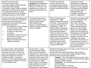| Second Protectorate Gov:<br>There was mixed success.<br>>Lancashire, Major-General Worsley:<br>closed down 200 alehouses.<br>>Lincolnshire, Major-General Whalley:<br>suppressed traditional entertainments<br>(i.e. stage plays and horse racing).<br>>Many others were not as successful<br>and neglected many of their duties.                                                                                                                                                                        | Cromwell established a<br><b>Commissions of Triers and</b><br><i>Ejectors</i> to supervise the<br>running of the Church. The<br>emphasis was on quality of<br>preaching and flexibility of<br>belief.                                                                                                                                                                  | In 1657 Cromwell was<br>offered the Crown by a<br>second parliament, however,<br>this meant Cromwell's power<br>would be defined and limited<br>by law.                                                                                                                                                                                                                                                                                                                                                                                                                     | Although the major-<br>generals were reasonably<br>successful what they were<br>aiming to do was unpopular.<br>The new second parliament<br>was therefore intent on<br>replacing them and<br>Cromwell recognised the<br>need for compromise.                                                                                                                                                                                                                                                                     |
|----------------------------------------------------------------------------------------------------------------------------------------------------------------------------------------------------------------------------------------------------------------------------------------------------------------------------------------------------------------------------------------------------------------------------------------------------------------------------------------------------------|------------------------------------------------------------------------------------------------------------------------------------------------------------------------------------------------------------------------------------------------------------------------------------------------------------------------------------------------------------------------|-----------------------------------------------------------------------------------------------------------------------------------------------------------------------------------------------------------------------------------------------------------------------------------------------------------------------------------------------------------------------------------------------------------------------------------------------------------------------------------------------------------------------------------------------------------------------------|------------------------------------------------------------------------------------------------------------------------------------------------------------------------------------------------------------------------------------------------------------------------------------------------------------------------------------------------------------------------------------------------------------------------------------------------------------------------------------------------------------------|
| The new constitution was based on the<br>restoration of monarchy. The Humble<br>Petition and Advice (offered to<br>Cromwell by the Second Protectorate<br>Parliament) consisted of:<br>Government by a king (changed<br>1.<br>to Lord Protector when<br>Cromwell refused the Crown).<br>2.<br>Provision for hereditary<br>succession.<br>Parliament to control the army,<br>3.<br>and officers of state to be<br>approved by parliament.<br>4.<br>Regular elections and limited<br>religious toleration. | The Humble Petition was<br>welcome by some as it was<br>seen as a step towards<br>Stuart Restoration.<br>However, Cromwell knew if<br>appointed king he would face<br>a severe backlash.                                                                                                                                                                               | Oliver Cromwell died on<br>September 3rd 1658.<br>Richard Cromwell succeeded<br>his father- he was declared<br>the new Lord Protector on<br>September 3rd 1658. In<br>January 1659 he summoned<br>what is known as the Third<br>Protectorate Parliament.<br>Unlike his father he had no<br>experience of politics or the<br>experience of warfare. As a<br>result of this he was deemed<br>"unacceptable" and was<br>forced to resign in April<br>1659. The Rump was then<br>recalled in May 1659.                                                                          | As before, the Rump failed<br>in their attempts to rule<br>the Commonwealth.<br>With their rule falling<br>apart, the initiative was<br>taken by General George<br>Monck to install change.<br>Monck was a professional<br>soldier who had fought for<br>the Royalists in the English<br>Civil War and had later<br>fought on the same side as<br>Cromwell in the Anglo-<br>Dutch War. Riots broke out<br>in London due to the poor<br>efforts of the Rump to rule<br>the Commonwealth, so<br>Monck took action. |
| In January 1660 - General Monck<br>marched his forces to London and<br>restored order after riots by the<br>Army who attempted to remove the<br>Rump and demand free elections.<br>In February 1660 - He allowed<br>members of the Long Parliament (who<br>had been purged in 1648) to return so<br>it could dissolve itself.                                                                                                                                                                            | In April $1660 - a$ newly<br>elected assembly (calling<br>itself the new Convention<br>Parliament as it had not been<br>called by a King) met and was<br>presented with a copy of the<br>Declaration of Breda (issued<br>by Charles II on 4 April<br>1660 on advice from Edward<br>Hyde and Monck and named<br>after the Dutch city of<br>Breda where it was devised). | Charles II had spent most of his time in exile in France (at<br>the court of Louis XIV).<br>In late 1659 restoration looked likely, Monck advised<br>Charles to move to Protestant Holland and here Charles<br>Declaration was devised and promised:<br><b>*Amnesty</b> - for action taken during the years of war<br>and Interregnum <sup>*</sup> (except for those who had signed<br>Charles I's death warrant).<br><b>Settlement</b> - of outstanding issues in partnership<br>with Parliament.<br>"Arrears of pay for the army.<br>"Religious tolerance would continue. |                                                                                                                                                                                                                                                                                                                                                                                                                                                                                                                  |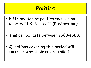- Fifth section of politics focuses on Charles II & James II (Restoration).
- This period lasts between 1660-1688.
- Questions covering this period will focus on why their reigns failed.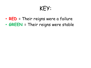- **RED** = Their reigns were a failure
- **GREEN** = Their reigns were stable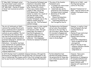| 5 <sup>th</sup> May 1660- Parliament voted<br>that government would consist of<br>the King, Lords and Commons.<br>25 <sup>th</sup> May 1660 - Charles II landed<br>at Dover and received an ecstatic<br>welcome.                                                                                                                                                                                                                                                                                                                                                          | The Convention Parliament was<br>dissolved in December 1660<br>and new elections took place<br>after Charles II's return.<br>There was a failed rebellion in<br>London in 1661, led by the<br>Fifth Monarchist Thomas<br>Venner (a rebel). As a result of<br>the new elections, a new<br>Parliament, nicknamed the<br>Cavalier Parliament, due to the<br>massive royalist majority -<br>came into rule. This Parliament<br>wanted revenge. | The aims of the Cavalier<br>Parliament were:<br>• To weaken any restrictions<br>on the King's power.<br>Undermine any clarity<br>$\blacksquare$<br>achieved by the Convention<br>Parliament which included:<br>1. Retention of the 1641<br>Triennial Act.<br>2.<br><b>Ensure Parliamentary</b><br>control of the militia.<br>Confirming abolition of<br>3 <sub>1</sub><br>the Prerogative Courts. | Militia Act of 1661 - said<br>the King had supreme<br>control of the army.<br>Revised Triennial Act of<br>1664 - said not enforce the<br>calling of Parliament every<br>3 years.                                                                                                                                                                        |
|---------------------------------------------------------------------------------------------------------------------------------------------------------------------------------------------------------------------------------------------------------------------------------------------------------------------------------------------------------------------------------------------------------------------------------------------------------------------------------------------------------------------------------------------------------------------------|--------------------------------------------------------------------------------------------------------------------------------------------------------------------------------------------------------------------------------------------------------------------------------------------------------------------------------------------------------------------------------------------------------------------------------------------|---------------------------------------------------------------------------------------------------------------------------------------------------------------------------------------------------------------------------------------------------------------------------------------------------------------------------------------------------------------------------------------------------|---------------------------------------------------------------------------------------------------------------------------------------------------------------------------------------------------------------------------------------------------------------------------------------------------------------------------------------------------------|
| The Act of Uniformity of 1662 -<br>restored the Laudian Church with<br>strict conditions which resulted in<br>1,800 ministers being able to<br>conform so were expelled. The Act<br>of Uniformity also ensured that<br>only few Puritans would be able to<br>sit on borough corporations which<br>governed towns/ports. Sheldon was<br>appointed Archbishop of<br>Canterbury - his mentor had been<br>Laud. Conventicle Act passed which<br>punished any who tried to have<br>separate religious meetings away<br>from the Church. This unified<br>religious separatists. | Charles needed to raise regular<br>taxation - Hearth Tax was<br>introduced in 1661. This was<br>based upon the number of<br>hearths (fireplaces) in a<br>household. Only 1/3 of the<br>expected £250,000 was<br>collected - this displeased<br>Charles but pleased Parliament.                                                                                                                                                             | The Restoration Settlement<br>did not solve the problems<br>that led to the Civil War in<br>the first place. When Charles<br>II returned to England and<br>claimed to be in his 12 <sup>th</sup> year<br>of rule he had laid down a<br>claim to Divine Right.                                                                                                                                     | However, in reality it had<br>been Parliament who had<br>recalled Charles as<br>monarch.<br>Charles II was restricted<br>by Parliament, who:<br>Denied/restricted his<br>funding,<br>Denied him independence<br>(even on aspects he had<br>prerogative),<br>Stood in the way of the<br>religious tolerance Charles<br>was prepared to<br>compromise on. |
| In 1672 Charles tried to establish religious tolerance, (through the<br>Declaration of Indulgence) for the second time, but because of the<br>fear of Catholicism this caused conflict (the first attempt was 1662,<br>but he was forced to withdraw due to a strong Anglican Parliament).                                                                                                                                                                                                                                                                                |                                                                                                                                                                                                                                                                                                                                                                                                                                            | Puritan dissenters had<br>declined and people disliked<br>the persecution of those who<br>were otherwise peaceful and<br>respectable.                                                                                                                                                                                                                                                             | However, there were<br>problems with the<br>Declaration of Indulgence;<br>It included Catholics and<br>stated royal prerogative<br>meant Charles could<br>dispense with 'operation of<br>the law'.                                                                                                                                                      |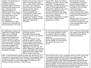| However, the Declaration of<br>Indulgence could be<br>maintained as long as<br>Parliament was not called but<br>Charles needed money to pay<br>debt. Although he had<br>suspended payment to<br>debtors known as the 'Stop of<br>the Exchequer', a third Anglo-<br>Dutch War meant he had<br>little choice. This was<br>Parliaments chance to stop<br>the Indulgence.<br>The Commons tried to pass<br>tolerance for Protestants but<br>this was blocked by the Lords. | Charles could not stop a Test Act<br>which forced holders of pubic<br>office to deny Catholic doctrines.<br>As a result, Lord Treasurer<br>Clifford and the Lord Admiral<br>(Charles' brother James)<br>immediately resigned.<br>Charles realised he had<br>overstepped his powers which<br>could have led to conflict.<br>So appointed Treasurer Thomas<br>Osborne, Earl of Danby who was<br>impeccably Anglican and<br>Protestant.                                                | August 1678 - fears of a Catholic<br>emergence resulted in the so-called<br>Popish Plot. An Anglican priest,<br>Titus Oates, who was educated as a<br>Jesuit in France approached Sir<br>Edmund Berry Godfrey, with a story<br>of a plot, organised by French<br>Jesuits to kill Charles and replace<br>him with his Catholic brother. The<br>story lacked credibility.<br>Godfrey was found dead in a London<br>park. All of a sudden the plot<br>seemed more credible.                                                                                | Investigations followed.<br>Correspondence was found,<br>written between Edward<br>Coleman, former employee of<br>the Duke of York to Jesuit<br>and French agents.<br>This further seemed to<br>confirm Oates's story. Oate's<br>could now accuse whomever he<br>wanted until he finally went<br>too far.<br>Rumours meant there was now<br>a full political crisis and<br>Parliament attempted to pass<br>a law excluding James from<br>the succession. |
|-----------------------------------------------------------------------------------------------------------------------------------------------------------------------------------------------------------------------------------------------------------------------------------------------------------------------------------------------------------------------------------------------------------------------------------------------------------------------|-------------------------------------------------------------------------------------------------------------------------------------------------------------------------------------------------------------------------------------------------------------------------------------------------------------------------------------------------------------------------------------------------------------------------------------------------------------------------------------|---------------------------------------------------------------------------------------------------------------------------------------------------------------------------------------------------------------------------------------------------------------------------------------------------------------------------------------------------------------------------------------------------------------------------------------------------------------------------------------------------------------------------------------------------------|----------------------------------------------------------------------------------------------------------------------------------------------------------------------------------------------------------------------------------------------------------------------------------------------------------------------------------------------------------------------------------------------------------------------------------------------------------|
| For Shaftesbury (Cooper) the<br>Popish Plot provided a golden<br>opportunity to challenge<br>Osborne's (Danby) power.<br>Danby used corruption and<br>bribery, funded by France.<br>This all tied in very well with<br>Oate's accusations of Popish<br>Plots and treasons. Attempts<br>were made to impeach him.<br>Charles' attempted to save<br>him by dissolving the Cavalier<br>Parliament but failed.                                                            | New elections had created an<br>anti-Danby majority.<br>These MPs, known as Whigs,<br>favoured reform at the expense<br>of the crown:<br>The next Parliament forced<br>Charles to appoint a new Privy<br>Council (chosen by parliament),<br>excluded James from succession,<br>replaced him with Charles<br>illegitimate Protestant son, the<br>Duke of Monmouth, people feared<br>James would adopt a pro-Catholic<br>approach and force these views<br>with an absolute monarchy. | For Charles this was all one step too<br>far, he was determined to resist.<br>He would not tolerate a blatant<br>attack on hereditary Divine Right<br>monarchy.<br>Whilst Charles showed tolerance<br>and even apathy on other matters<br>this was not the case on this<br>matter.                                                                                                                                                                                                                                                                      | 1679 - The first Exclusion Bill<br>was stopped from going to the<br>House of Lords as Charles<br>dissolved Parliament.                                                                                                                                                                                                                                                                                                                                   |
| 1680 - A new Parliament presented another Bill, defeated by the<br>Lords due to heavy pressure from the King. This prevented a Whig<br>triumph and created a delay until a time when Popish Plot fears<br>started to subside, as well as Whig support, by this point 35<br>Catholics had been executed or fled into exile.                                                                                                                                            |                                                                                                                                                                                                                                                                                                                                                                                                                                                                                     | 1675 - Charles made a secret agreement with Louis XIV, stating that<br>if Parliament showed hostility to France he would suspend it. The<br>first time Parliament was suspended in 1675 Charles received<br>£100,000 and 1681 he was financially independent. Charles decreed<br>the 1681 Parliament should meet in Oxford, away from the London<br>Whig stronghold. This he hoped would stop London Whig intervention.<br>When Shaftesbury (Cooper) proposed another Exclusion Bill, Charles<br>dissolved Parliament and had him arrested for treason. |                                                                                                                                                                                                                                                                                                                                                                                                                                                          |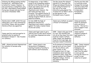| Following the Whigs passing another<br>Exclusion bill, Shaftesbury was<br>arrested for treason. However, he<br>was acquitted by a sympathetic jury,<br>but then Shaftesbury found himself<br>facing new charges and was forced<br>into exile in November 1682. | In desperation, in April 1682 a<br>group of old Cromwellian soldiers<br>plotted to kill Charles II at Rye<br>House and replace him with the<br>Duke of Monmouth (his<br>illegitimate son). However, the<br>plot failed and they were<br>arrested. This allowed Charles II<br>to destroy the Whig government -<br>Charles targeted them all, even on<br>doubtful evidence. | The Rye House Plot allowed<br>Charles II to discredit the<br>Whigs and allowed Charles to<br>avoid calling Parliament for<br>the rest of his reign<br>(therefore going against the<br>Triennial Act of 1664 in which<br>he had agreed to call<br>Parliament every 3 years).                                       | Charles was then able<br>to recall and revise<br>(change) the borough<br>charters (rules) that<br>controlled elections,<br>to help select<br>Parliamentary<br>candidates.                        |
|----------------------------------------------------------------------------------------------------------------------------------------------------------------------------------------------------------------------------------------------------------------|---------------------------------------------------------------------------------------------------------------------------------------------------------------------------------------------------------------------------------------------------------------------------------------------------------------------------------------------------------------------------|-------------------------------------------------------------------------------------------------------------------------------------------------------------------------------------------------------------------------------------------------------------------------------------------------------------------|--------------------------------------------------------------------------------------------------------------------------------------------------------------------------------------------------|
| Charles died in 1685, whilst this was<br>taking place, but it was continued by<br>his brother James, who succeeded<br>Charles without any opposition.                                                                                                          | In June 1685 the Duke of<br>Monmouth (Charles II's<br>illegitimate son) raised a rebellion<br>against the newly crowned James<br>II (his own uncle).                                                                                                                                                                                                                      | James was a Catholic so posed<br>a threat to Protestants.                                                                                                                                                                                                                                                         | James personality<br>meant he alienated<br>every section of<br>society - this led to a<br>lack of support from<br>everyone.                                                                      |
| James used his royal prerogative to<br>establish what he wanted if<br>Parliament refused it - like freedom<br>for Catholics.                                                                                                                                   | James used legal cases to get a<br>judicial (court) order which stated<br>he could issue dispensations when<br>he wanted.                                                                                                                                                                                                                                                 | 1688 - James' wife gave birth<br>to a son, this instilled fear<br>into all as they knew this child<br>would be raised a Catholic,<br>unlike James' two daughters<br>from his first marriage, who<br>had been raised Protestants.                                                                                  | James wanted<br>religious freedom &<br>legal equality for<br>Catholics.                                                                                                                          |
| 1685 - allowed personal dispensations<br>for Catholics to become army<br>officers.                                                                                                                                                                             | 1687 - James issued a new<br>Declaration of Indulgence,<br>granting freedom of worship to<br>both Catholic and Protestants.                                                                                                                                                                                                                                               | An Ecclesiastical Commission<br>was set up to act as a Court<br>for Church affairs, with<br>power similar to the<br>Prerogative Court of High<br>Commission which had been<br>abolished in 1641. Using this<br>James expelled the Fellows of<br>Magdalen College, Oxford,<br>and replaced them with<br>Catholics. | 1688 - James renewed<br>the Declaration of<br>Indulgence and<br>ordered that it be<br>read from the pulpit<br>in every parish,<br>forcing the Church to<br>accept its own<br>reduction of power. |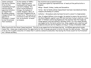| James continued<br>the work of Charles<br>II by further<br>remodelling borough<br>charters and he<br>appointed Catholics<br>as magistrates.<br>By making religious<br>changes without the<br>approval of<br>Parliament, it meant<br>he had threatened<br>their existence. | In the summer of 1688 a<br>letter, signed by seven<br>leading political figures, was<br>carried to Holland. This<br>letter invited William of<br>Orange, the husband of<br>James' daughter, Mary, to<br>intervene in England with an<br>armed force. This was not an<br>invitation to take the throne,<br>but, an invitation to mount<br>an invasion. | The invitation was accepted because:<br>It had been signed by representatives of nearly all the political elite in<br>England.<br>Whigs - Russell, Sidney, Lumley and Devonshire.<br>Tories - Earl of Danby (whose impeachment had been rescinded) and Henry<br>Compton (the Bishop of London).<br>Catholics - Shrewsbury (who had been forced to convert to Anglicanism).<br>Also, It helped William in his struggle. He wanted to ensure the survival of<br>the Dutch Republic against Louis XIV who had been trying to destroy it since<br>1667. If William could bring England into the equation then that might tip<br>things against Louis and instead in Williams favour. For this reason William<br>was supported by the Dutch authorities. Ships, supplies and a small but well<br>prepared army set sail for England, arriving at Torbay in November 1688. |  |
|---------------------------------------------------------------------------------------------------------------------------------------------------------------------------------------------------------------------------------------------------------------------------|-------------------------------------------------------------------------------------------------------------------------------------------------------------------------------------------------------------------------------------------------------------------------------------------------------------------------------------------------------|----------------------------------------------------------------------------------------------------------------------------------------------------------------------------------------------------------------------------------------------------------------------------------------------------------------------------------------------------------------------------------------------------------------------------------------------------------------------------------------------------------------------------------------------------------------------------------------------------------------------------------------------------------------------------------------------------------------------------------------------------------------------------------------------------------------------------------------------------------------------|--|
| When faced with this threat James hesitated. This led to any supporters he had deserting him As William approached London                                                                                                                                                 |                                                                                                                                                                                                                                                                                                                                                       |                                                                                                                                                                                                                                                                                                                                                                                                                                                                                                                                                                                                                                                                                                                                                                                                                                                                      |  |

When faced with this threat James hesitated. This led to any supporters he had deserting him. As William approached London James fled. James was recaptured but the opportunity for him to escape was given to him as this was the ideal outcome. There was to be no trial, no public execution. If James fled it could be claimed he abdicated, thus leaving the throne vacant for his Protestant heir, William and Mary.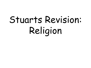# Stuarts Revision: Religion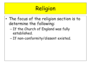# Religion

- The focus of the religion section is to determine the following:
	- If the Church of England was fully established.
	- If non-conformity/dissent existed.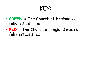- **GREEN** = The Church of England was fully established
- **RED** = The Church of England was not fully established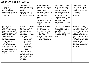### Laud/Arminianism 1625-29

| 1633: Laud, as<br>Archbishop of<br>Canterbury, starts to<br>make changes to<br>Churches which people<br>fear is a return to<br>Catholicism.                                                                                                                                                                                                                                                   | Arminianism was<br>growing in popularity<br>amongst a section of<br>the clergy.<br>Arminians, saw the<br>Catholic Church as<br>misquided rather than<br>evil.                                                                                                                                                                                                                                                | English Arminians<br>claimed the Anglican<br>Church had found the<br>correct balance:<br>Strip away superstition<br>and misleading<br>elements. Restore<br>purity.<br>Retain enough ceremony<br>and hierarchy in order<br>to ensure order and<br>respect. | This reasoning justified<br>decorated churches,<br>symbols, clergy in the<br>robes of their office<br>and access to certain<br>areas of the church<br>denied to laity. This<br>raised fears that clergy<br>would be restored to a<br>position of authority<br>and dispensers of God's<br>grace. | Arminians went against<br>the Protestant belief<br>that spiritually all men<br>were equal before God<br>this was why<br>Arminianism was seen as<br>offensive.                                                                                                                                                                          |
|-----------------------------------------------------------------------------------------------------------------------------------------------------------------------------------------------------------------------------------------------------------------------------------------------------------------------------------------------------------------------------------------------|--------------------------------------------------------------------------------------------------------------------------------------------------------------------------------------------------------------------------------------------------------------------------------------------------------------------------------------------------------------------------------------------------------------|-----------------------------------------------------------------------------------------------------------------------------------------------------------------------------------------------------------------------------------------------------------|-------------------------------------------------------------------------------------------------------------------------------------------------------------------------------------------------------------------------------------------------------------------------------------------------|----------------------------------------------------------------------------------------------------------------------------------------------------------------------------------------------------------------------------------------------------------------------------------------------------------------------------------------|
| What actions did<br>Charles I take;<br>Took Richard Montagu<br>under his protection<br>following his published<br>attack on Calvinists, A<br>New Gag for an old<br>Goose.<br><b>Appointed Arminian</b><br>clergy to the role of<br>royal chaplain.<br>Duke of Buckingham,<br>high profile Arminian.<br>1626 - Charles forbade<br>the public discussion of<br>sensitive religious<br>doctrine. | Parliament started to<br>oppose the reforms<br>that Laud was<br>introducing in 1640.<br>This came with an<br>attack on the Laudian<br>bishops due to:<br>Their role of<br>enforcers,<br>Arrogance,<br>Pretentious<br>lifestyles,<br>Willingness to<br>impose their<br>views.<br>These complaints<br>however, were not<br>simply about religion<br>but also directed at<br>their activities in<br>government. | Laudian reforms to<br>churches:<br>Organs installed<br>Fonts decorated<br>Statues & colour<br>returned<br>Removal of communal<br>table from the<br>centre to the east                                                                                     | Lay nobility and gentry<br>were unhappy about the<br>growing prominence of<br>people like Privy<br>Councillor Laud or Lord<br>Treasurer Bishop<br>Juxon.                                                                                                                                        | Many bishops came<br>from humble beginnings<br>(including Laud) so they<br>were entirely dependant<br>on royal favour for<br>their advancement. This<br>mean bishops were more<br>likely to obey the king's<br>wishes regardless of its<br>impact on others. This<br>fuelled the fear that an<br>absolute monarchy was<br>being built. |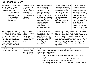### Parliament 1640-60

| Parliament, with the support<br>of the House of Commons,<br>launched an attack against<br>Charles I, because of:<br>Arminian influence,<br>1.<br>2.<br>Loyalty of the<br>bishops to carry out<br>the kings wishes,<br>regardless of the<br>consequences.                            | Parliament called<br>for the abolition of<br>the Prerogative<br>Courts to remove<br>the ability to<br>control the Church<br>and the ability of<br>individuals to<br>discuss it. | Parliament were angry<br>about the Laudian<br>reforms so the 'Root<br>and Branch Petition'<br>emerged, signed by<br>15,000 Londoners. An<br>attempt to remove the<br>problems of the Church<br>- the bishops! This led<br>to an unsuccessful<br>request to abolish<br>episcopacy (the<br>government of the<br>church by bishops).                                                                                                                                                                                             | Complaints supported by<br>Anglicans like Edward<br>Hyde (a future royalist)<br>were expressed over<br>the 'Honourable' men<br>who were brought<br>before the Court of<br>High Commission and<br>subjected to<br>punishment for their<br>religious beliefs.                                                                                                                                                                    | Although complaints<br>were sometimes on<br>moral issues they often<br>showed more concern<br>over the status and<br>privacy of the men. This<br>caused leaders of the<br>opposition, who were<br>mainly Puritan, to gain<br>widespread support and<br>force Charles to:<br>remove the bishops<br>from the Privy Council,<br>House of Lords but not<br>to abolish episcopacy. |
|-------------------------------------------------------------------------------------------------------------------------------------------------------------------------------------------------------------------------------------------------------------------------------------|---------------------------------------------------------------------------------------------------------------------------------------------------------------------------------|-------------------------------------------------------------------------------------------------------------------------------------------------------------------------------------------------------------------------------------------------------------------------------------------------------------------------------------------------------------------------------------------------------------------------------------------------------------------------------------------------------------------------------|--------------------------------------------------------------------------------------------------------------------------------------------------------------------------------------------------------------------------------------------------------------------------------------------------------------------------------------------------------------------------------------------------------------------------------|-------------------------------------------------------------------------------------------------------------------------------------------------------------------------------------------------------------------------------------------------------------------------------------------------------------------------------------------------------------------------------|
| The Covenant (agreement)<br>with the Scots was signed in<br>1643. This was an attempt to<br>establish a Presbyterian<br>form of organisation.<br>However, at Westminster<br>Pym only agreed to only an<br>assembly of clergy to meet<br>and draw up a 'model to be<br>established'. | 1645: Parliament<br>officially resolved<br>that the<br>government of the<br>church should be<br>Presbyterian in<br>form.                                                        | Conservative (against<br>change or innovation and<br>holding traditional<br>values) Puritans only<br>had limited support for<br>a change towards a<br>Presbyterian<br>organisation.                                                                                                                                                                                                                                                                                                                                           | There was no reason to suspect that the ministers<br>who met in 1644 would have had a problem in<br>agreeing a Presbyterian organisation. However, on<br>3 January 1644 they were presented with an<br>Apologetical Narration (an appeal for the right to<br>establish independent churches - BUT NOT an<br>appeal for religious tolerance). This appeal was<br>rejected but did go on to have longer lasting<br>implications. |                                                                                                                                                                                                                                                                                                                                                                               |
| 1646: Parliament confirmed<br>the collapse of episcopacy.                                                                                                                                                                                                                           | The mobility of the<br>New Model Army<br>was a threat to<br>Presbyterian plans.                                                                                                 | The New Model Army was accused of having radical religious beliefs.<br>There was certainly an element of truth in these accusations although<br>accounts were exaggerated.<br>In the New Model Army men were;<br>Isolated so had lost any aspect of their life that provided social<br>control.<br>Mixing with colleagues who had strong Protestant traditions and a<br>history of radicalism (East Anglia and Lincolnshire),<br>Had a strong loyalty and trust of their colleagues (= greater openness<br>to radical ideas). |                                                                                                                                                                                                                                                                                                                                                                                                                                |                                                                                                                                                                                                                                                                                                                                                                               |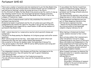| There were a number of preachers who had volunteered to join the New Model Army.                                                                                                                                                                                                                                                                                                                                                                                                                                                                                | It was unlikely that Charles I would have                                                                                                                                                                                                                                                                                                                                                                                                                      |
|-----------------------------------------------------------------------------------------------------------------------------------------------------------------------------------------------------------------------------------------------------------------------------------------------------------------------------------------------------------------------------------------------------------------------------------------------------------------------------------------------------------------------------------------------------------------|----------------------------------------------------------------------------------------------------------------------------------------------------------------------------------------------------------------------------------------------------------------------------------------------------------------------------------------------------------------------------------------------------------------------------------------------------------------|
| They would obviously step forward when an ordained minister was not available but                                                                                                                                                                                                                                                                                                                                                                                                                                                                               | agreed to Presbyterian change, however, a                                                                                                                                                                                                                                                                                                                                                                                                                      |
| also held secret meetings, outside the normal services of the Church.                                                                                                                                                                                                                                                                                                                                                                                                                                                                                           | renewal of civil war in 1648, the purge of                                                                                                                                                                                                                                                                                                                                                                                                                     |
| In the aftermath of Nasby the New Model Army moved across the country to mop up                                                                                                                                                                                                                                                                                                                                                                                                                                                                                 | parliament and the kings ultimate execution                                                                                                                                                                                                                                                                                                                                                                                                                    |
| the remaining royalist forces, this encouraged and spread religious conversion.                                                                                                                                                                                                                                                                                                                                                                                                                                                                                 | was the final blow.                                                                                                                                                                                                                                                                                                                                                                                                                                            |
| When attempts were made to disband the New Model Army in 1647 it led to the                                                                                                                                                                                                                                                                                                                                                                                                                                                                                     | The kings execution sparked a new and more                                                                                                                                                                                                                                                                                                                                                                                                                     |
| collapse of Presbyterian hopes.                                                                                                                                                                                                                                                                                                                                                                                                                                                                                                                                 | dangerous wave of radical ideas and groups.                                                                                                                                                                                                                                                                                                                                                                                                                    |
| However, before Presbyterianism could be fully established the attention of                                                                                                                                                                                                                                                                                                                                                                                                                                                                                     | The Independents and Baptists were not                                                                                                                                                                                                                                                                                                                                                                                                                         |
| parliament was distracted.                                                                                                                                                                                                                                                                                                                                                                                                                                                                                                                                      | part of these dangerous radicals as they                                                                                                                                                                                                                                                                                                                                                                                                                       |
| Presbyterian leaders in parliament and the City of London were quarrelling with                                                                                                                                                                                                                                                                                                                                                                                                                                                                                 | both had more organised churches                                                                                                                                                                                                                                                                                                                                                                                                                               |
| Independents who wanted the rights for the godly to set up their own churches.                                                                                                                                                                                                                                                                                                                                                                                                                                                                                  | despite Puritan principles which rejected                                                                                                                                                                                                                                                                                                                                                                                                                      |
| The Independents were supported by a small number of MPs and key members of                                                                                                                                                                                                                                                                                                                                                                                                                                                                                     | any external authority and demanded                                                                                                                                                                                                                                                                                                                                                                                                                            |
| parliaments New Model Army.                                                                                                                                                                                                                                                                                                                                                                                                                                                                                                                                     | complete religious tolerance for all.                                                                                                                                                                                                                                                                                                                                                                                                                          |
| 1650 - radical ideas led to a 'conservative reaction' which was both intense and<br>widespread.<br>This led to the Rump passing the Blasphemy Act (religious groups could suffer severe<br>penalties).<br>Most radical groups did not last long - some simply died out whilst others lost<br>momentum once they lost their leaders (death/imprisonment).<br>One exception to this was the Quakers under the leadership of George Fox.<br>They spread rapidly in the North, 1650-52 and by 1654 preachers were being sent<br>out to convert others in new areas. | When fighting in Ireland and Scotland<br>ceased, soldiers returned to their civilian<br>lives.<br>More extreme soldiers that remained were<br>either disciplined or forced to resign<br>(following purges by the Council of Officers).<br>Many army leaders and Independents in the<br>Rump sympathised with those wanting their<br>own churches, however, they did not want to<br>break from convention and were afraid of<br>giving people complete freedom. |
| Two independent ministers, John Goodwin and Philip Nye, had helped write the<br>Apologetical Narration, they still wanted the right to govern themselves.<br>They maintained that;<br>They shared the views and habits of the Presbyterian majority,<br>The only difference between their views and the Presbyterians was Church<br>government                                                                                                                                                                                                                  | When Cromwell took power he dissolved the<br>Rump and looked for a 'sensible compromise'<br>regarding government.<br>His aims were to;<br>Reform government,<br>Build a godly society,<br>Encourage a 'reformation of manners'<br>(adhere to the word of God and live<br>morally virtuous lives).                                                                                                                                                              |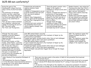| During the years of the<br>Commonwealth religion functions<br>using a variety of practices based<br>on:<br>The preference of individual<br>minister and their committees.<br>However, now things changed and<br>the Church was placed under the<br>control of two committees of<br>ministers.<br>Their job was to ensure ministers<br>were competent, educated and<br>capable of preaching the word of<br>God. They were called;<br>The Triers and The Ejectors.                       | Presbyterians and moderate<br>Anglican ministers found<br>employment.<br>their own church members<br>separately).<br>However, many Independents<br>a wide area.<br>the established Church with<br>punishment). | A number of Independents served<br>as parish ministers (but met with<br>chose to ignore parish boundaries<br>and drew their congregation from<br>Calvanists sects met outside of<br>relative impunity (exempt from                                                                                                                                                                                                                                                                                                                                | Those who posed a greater risk or<br>danger to the regime, or<br>attempted to disrupt society were<br>more at risk.<br>However, Cromwell was adverse to<br>persecution of these people<br>believing that everyone should be<br>allowed to find their own way to<br>God as long as they didn't cause<br>harm to others.<br>Amongst those who were<br>considered to pose a risk to<br>others were Arminian and Catholic<br>churches (although discreet<br>individuals may be left in peace). | Quakers however, were subjected<br>to persecution when they tried to<br>spread their views (although, once<br>again, discreet individuals or<br>those in more remote areas may<br>be left in peace).<br>Quakers were pacifists (against<br>war and violence) but sometimes<br>early Quakers used extravagant<br>and excitable methods to preach<br>and convert others. |
|----------------------------------------------------------------------------------------------------------------------------------------------------------------------------------------------------------------------------------------------------------------------------------------------------------------------------------------------------------------------------------------------------------------------------------------------------------------------------------------|----------------------------------------------------------------------------------------------------------------------------------------------------------------------------------------------------------------|---------------------------------------------------------------------------------------------------------------------------------------------------------------------------------------------------------------------------------------------------------------------------------------------------------------------------------------------------------------------------------------------------------------------------------------------------------------------------------------------------------------------------------------------------|--------------------------------------------------------------------------------------------------------------------------------------------------------------------------------------------------------------------------------------------------------------------------------------------------------------------------------------------------------------------------------------------------------------------------------------------------------------------------------------------|------------------------------------------------------------------------------------------------------------------------------------------------------------------------------------------------------------------------------------------------------------------------------------------------------------------------------------------------------------------------|
| Although they had a great<br>emphasis on morality Quakers<br>used methods such as;<br>Appearing naked to demonstrate<br>purity of mind,<br>On one such occasion, on Palm<br>Sunday, James Nayler, a preacher<br>sent by Fox to convert others, did<br>this. He was also riding on a<br>donkey and accompanied by a<br>female Quaker who was laying<br>branches and flowers in his path.<br>This was a re-enactment of<br>Christ's entry into Jerusalem and<br>was seen as blasphemous. | political nation in parliament.<br>political nation in parliament.<br>Imprisoned.                                                                                                                              | Some MPs wanted Nayler executed.<br>It was Cromwell who objected to the treatment of Nayler by the<br>Cromwell saw Nayler as being foolish rather than evil and challenged<br>parliament's right to inflict such severe punishment.<br>Some MPs wanted Nayler executed.<br>It was Cromwell who objected to the treatment of Nayler by the<br>Cromwell saw Nayler as being foolish rather than evil and challenged<br>parliament's right to inflict such severe punishment.<br>In the end Nayler was publically flogged; Bored through the tongue; |                                                                                                                                                                                                                                                                                                                                                                                                                                                                                            | 1659: The republican regime that<br>followed Cromwell started to<br>disintegrate.<br>1660: The republican regime that<br>followed Cromwell collapsed.<br>A Quaker scare followed the<br>collapse of the republican regime.                                                                                                                                             |
| Under Charles II the Convention Parliament of<br>1660;<br>1. Re-established the Church of England,<br>2. In the Worcester House Declaration (details to<br>be worked out in the Savoy House Conference<br>1661) bishops were restored.                                                                                                                                                                                                                                                 |                                                                                                                                                                                                                | flexible national Church.<br>1666).                                                                                                                                                                                                                                                                                                                                                                                                                                                                                                               | There were two main events in the winter of 1660-61 that prevented this broad and<br>1. An ill-conceived and ineffectual uprising by the Fifth Monarchists which led to increased<br>fear of radicals (Fifth Monarchists believed the 2 <sup>nd</sup> coming of Jesus would take place in<br>2. An election in the aftermath of the rebellion of a conservative parliament of Cavaliers,<br>who were bent on revenge. For Puritans and moderates at the Savoy this was a disaster.         |                                                                                                                                                                                                                                                                                                                                                                        |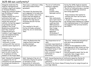| Alongside moderates the<br>Anglican representatives<br>included a significant number<br>of Arminian thinkers.<br>Among the Arminian thinkers<br>was the Bishop of London,<br>Gilbert Sheldon.<br>Sheldon wanted the strict<br>uniformity that Laud<br>favoured and to drive out<br>anyone who would not<br>conform. He had the support<br>of parliament and the<br>bishops in the Lords.<br>Moderates protested the<br>best they could but<br>Presbyterians had a<br>tendency to get bogged down<br>over non-essential details,<br>which proved to be in<br>Sheldon's favour. | There was a conference in May<br>1661 which ended without<br>agreement.<br>This meant the decisions that<br>were supposed to be made here<br>(nature of belief, role of the<br>Prayer book and demand of<br>clergy) were now left in the<br>hands of the High Church<br>Arminians and anti-Puritan<br>parliament.<br>This resulted in the anti-<br>Puritan attitudes contained<br>within the Act of Uniformity,<br>1662. | The Act of Uniformity<br>resulted in imposed;<br>Formality,<br>Rituals,<br>Priestly robes,<br>Episcopal control.<br>Which led to;<br>Non-conformists<br>were restricted in<br>the positions they<br>could now hold,<br>1800 ministers<br>were driven out of<br>their livings,<br>Sheldon being<br>appointed<br>Archbishop of<br>Canterbury in 1663. | During the 1640s Anglican minister<br>were pushed out in favour of Puritans.<br>The Act of Uniformity saw a reversal<br>of this and in 1660 new ministers<br>were being appointed.<br>Those ministers that wanted to<br>continue with their service were<br>required to;<br>1. Accept re-ordination if they had<br>not already been ordained by a bishop<br>(this emphasised power of the bishops<br>and suggested their previous ministry<br>was invalid). |
|-------------------------------------------------------------------------------------------------------------------------------------------------------------------------------------------------------------------------------------------------------------------------------------------------------------------------------------------------------------------------------------------------------------------------------------------------------------------------------------------------------------------------------------------------------------------------------|--------------------------------------------------------------------------------------------------------------------------------------------------------------------------------------------------------------------------------------------------------------------------------------------------------------------------------------------------------------------------------------------------------------------------|-----------------------------------------------------------------------------------------------------------------------------------------------------------------------------------------------------------------------------------------------------------------------------------------------------------------------------------------------------|-------------------------------------------------------------------------------------------------------------------------------------------------------------------------------------------------------------------------------------------------------------------------------------------------------------------------------------------------------------------------------------------------------------------------------------------------------------|
| Under the Act of<br>Uniformity, in order<br>continue with their service<br>ministers were required to;<br>2. Renounce the Presbyterian<br>Covenant (which they had<br>sworn an oath of loyalty to).<br>3. Acceptance of every<br>element of the Prayer Book.                                                                                                                                                                                                                                                                                                                  | After the Restoration the<br>Anglican Church was now;<br>Socially dominant,<br>Politically significant.                                                                                                                                                                                                                                                                                                                  | The Corporation Act of<br>1661;<br>Laid down requirements of<br>conformity (including those<br>holding positions in local<br>government having to take<br>Holy Communion).<br>Later covered a range of<br>institutions <i>i.e.</i><br>universities.                                                                                                 | The social, intellectual and political<br>elite were now predominantly<br>Anglican.<br>Charles II was supposed to offer<br>royal approval of such 'elites' but this<br>was intermittent at the beginning of<br>his reign.<br>Political necessity meant that he did<br>eventually take a bigger role in<br>offering royal approval.                                                                                                                          |
| 1662: Charles II attempted<br>to suspend the Act of<br>Uniformity but was defeated<br>by bishops and Cavaliers in<br>parliament.                                                                                                                                                                                                                                                                                                                                                                                                                                              | 1662: Instead of the Act of<br>Uniformity Charles II wanted<br>to introduce a First<br>Declaration of Uniformity<br>(offered religious tolerance).                                                                                                                                                                                                                                                                       | conformity.<br>Lord High Admiral.                                                                                                                                                                                                                                                                                                                   | 1672: Second Declaration of Uniformity issued by Charles II.<br>Followed by a Test Act which increased the requirements of<br>This led to the future James II being forced to resign his post as                                                                                                                                                                                                                                                            |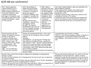| 1673: Charles appointed<br>Thomas Osborne, Earl of<br>Danby, as Lord Treasurer.<br>Danby renewed persecution of<br>Protestant dissenters. Used<br>royal social and political<br>patronage to strengthen royal<br>and Anglican majorities in both<br>Houses of Parliament - known<br>as 'Tory' policies.                                                                                                                                                                                                                                     | After the problems of<br>Popish Plot and Exclusion<br>Crisis in 1678-82 Charles<br>returned to a strategy of<br>persecution against<br>Protestant dissenters with<br>a vengeance - probably the<br>harshest period during his<br>reign.<br>Borough charters were<br>remodelled - ensuring Tory<br>and Anglican control.<br>By 1685: The Anglican<br>establishment was truly the<br>Church of England, although<br>no it did not have the level<br>uniformity desired.                                                                                 | 1688: Anglican<br>supremacy was seen<br>through the trial of<br>the Seven Bishops<br>who opposed James<br>II's Declaration of<br>Indulgence, which<br>offered tolerance<br>to both non-<br>conformists and<br>Catholics.<br>They were firm<br>supporters of<br>Anglicanism and<br>found not guilty.                                                                          | John Smyth adopted Baptist ideas and established the<br>General Baptist movement.<br>They rejected infant baptism and predestination.<br>In the 1620s there were 5 such churches and a<br>membership of 150.<br>Therefore, under Charles I there was a small but well<br>established tradition of Puritanism.<br>Laud placed restrictions on preaching and imposed the<br>use of a <i>Catechism</i> to teach the laity set prayers and<br>Church doctrines, which were to be learned by heart. |
|---------------------------------------------------------------------------------------------------------------------------------------------------------------------------------------------------------------------------------------------------------------------------------------------------------------------------------------------------------------------------------------------------------------------------------------------------------------------------------------------------------------------------------------------|-------------------------------------------------------------------------------------------------------------------------------------------------------------------------------------------------------------------------------------------------------------------------------------------------------------------------------------------------------------------------------------------------------------------------------------------------------------------------------------------------------------------------------------------------------|------------------------------------------------------------------------------------------------------------------------------------------------------------------------------------------------------------------------------------------------------------------------------------------------------------------------------------------------------------------------------|------------------------------------------------------------------------------------------------------------------------------------------------------------------------------------------------------------------------------------------------------------------------------------------------------------------------------------------------------------------------------------------------------------------------------------------------------------------------------------------------|
| Clerical ejections and the<br>number of dissenters meeting<br>outside of the Church<br>increased, although exact<br>numbers are hard to obtain.<br>1604 - James I reign - 90<br>ministers affected by changes<br>to religious policy - 100<br>emigrated to Puritan New<br>England.<br>1662 - Act of Uniformity -<br>1,800 ejections took place.                                                                                                                                                                                             | Charles and Laud feared Puritans - this is clear<br>from the use of Prerogative Courts to punish<br>dissent.<br>Including;<br>John Bastwick - for writing anti-Arminian text.<br>Henry Burton and William Prynne - punished by<br>Star Chamber in 1637 - Burton's sermons deviated<br>from set text and were liable to attack bishops.<br>Prynne was a lawyer and author who had written<br>Histriomastix, early 1630, denouncing stage plays<br>and actresses as ungodly.<br>All were released by Long Parliament and sentences<br>declared illegal. |                                                                                                                                                                                                                                                                                                                                                                              | Long Parliament were Puritans, including;<br>John Pym - who had been keeping a dossier on Charles I's<br>mismanagement of government between 1629-1640.<br>John Hampden - who earned notoriety in the Ship money<br>case.                                                                                                                                                                                                                                                                      |
| By 1616, Henry Jacob had returned to England and established a Congregational<br>Church in London.<br>By 1640, this had multiplied into 8 Congregational Churches (in part due to opposition<br>to Laudian reforms).<br>Because of Long Parliaments attitude towards religion this led to further development<br>which included the practice of allowing laymen to preach.<br>However, on the eve of the Civil War there were only about 1,000 active separatists in<br>a city of 350,000 (this was supposed to be a hotbed of radicalism). |                                                                                                                                                                                                                                                                                                                                                                                                                                                                                                                                                       | The war saw further growth due to a variety of factors;<br>Breakdown of normal restraints - allowed existing<br>separatist groups and their preachers to be more active.<br>A number of more radical ministers were able to take on<br>parish responsibilities/preach as lecturers in towns and<br>boroughs sympathetic to parliament/ held meetings to<br>debate the Bible. |                                                                                                                                                                                                                                                                                                                                                                                                                                                                                                |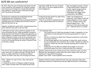| By 1647, when the quarrel between parliament and the<br>army intensified, the argument for religious freedom<br>and radical social change were already well publicised<br>and available to those who were interested through<br>both the press and the pulpit.                                                                                                                                                                           | September 1658: By the time Cromwell<br>dies, most of the more dangerous sects<br>have disappeared.                                                                                                                                                                                                                                                                                                                                                                                                                                                                                                                                                                                                           | But the Quakers posed a threat.<br>[They had become a refuge for<br>earlier radical groups such as<br>Lilburne the Leveller and<br>Winstanley the Digger. Both<br>converted in the 1650s].                                    |
|------------------------------------------------------------------------------------------------------------------------------------------------------------------------------------------------------------------------------------------------------------------------------------------------------------------------------------------------------------------------------------------------------------------------------------------|---------------------------------------------------------------------------------------------------------------------------------------------------------------------------------------------------------------------------------------------------------------------------------------------------------------------------------------------------------------------------------------------------------------------------------------------------------------------------------------------------------------------------------------------------------------------------------------------------------------------------------------------------------------------------------------------------------------|-------------------------------------------------------------------------------------------------------------------------------------------------------------------------------------------------------------------------------|
| Growing more organised and established/national<br>organisations and Confessions of Faith:<br>Independents (increasingly known as Congregationalists)<br>had been given more freedom and different orders of<br>Baptists had been set up.<br>[Quaker and Baptists would suffer renewed prosecution<br>after 1660 but were able to survive this].                                                                                         | Presbyterians also gained the opportunity<br>to work in the Church.<br>They set up voluntary organisations such<br>as the regional association of ministers.                                                                                                                                                                                                                                                                                                                                                                                                                                                                                                                                                  | 1660: Two Presbyterian<br>ministers, John Shaw of Hull and<br>Edward Bowles of York, liaised<br>with Sir Thomas Fairfax and<br>General Monck over -> the<br>seizure of York which made way<br>for -> Monck's march to London. |
| 1,200 deserters left John Lambert's regiment of the<br>army and backed Fairfax. Shaw and Bowles travelled to<br>Breda and met with Charles II [Shaw was appointed as a<br>royal chaplain]. A Presbyterian minister from Yorkshire,<br>Oliver Heywood of Coley, wrote of his excitement over<br>Charles' return to England in his diary (which became a<br>record of Puritanism during the reign of Charles II and<br>his brother James). | The Clarendon Code:<br>The Corporation Act (1661) was intended to make it impossible for non-<br>1 <sub>1</sub><br>conformists to hold municipal offices (local government of a town or<br>city).<br>The Act of Uniformity (1662) that followed excluded non-conformists<br>2.<br>from Church offices.<br>3 <sub>1</sub><br>It soon became apparent that meetings, of some kind, would continue,<br>this was followed by the Conventicle Act of 1664, intended to widen the<br>targets to include the laity who attended meetings and to isolate the<br>ministers.<br>Followed by the Five Mile Act (1665), which sought to drive non-<br>4.<br>conformists away from their friends and allies that remained. |                                                                                                                                                                                                                               |
| The Acts of the Clarendon Code, although spread over 4<br>years, were part of a plan on the part of High Church<br>party to create uniformity of worship and silence<br>dissent. By 1669 it was clear this strategy had failed.                                                                                                                                                                                                          | Quakers suffered the worst, mainly because they refused to meet in private.<br>Because they worshipped in silence there were also rumours that they were<br>meeting for a more secretive purpose.<br>Quaker Scare 1659 - several Quakers were executed.                                                                                                                                                                                                                                                                                                                                                                                                                                                       |                                                                                                                                                                                                                               |
| 1662 - Quaker Act was in force, they could now be;<br>$\triangleright$ Arrested,<br>>Tendered the Oath of Allegiance (despite knowing<br>their religion forbade them from swearing and oath).                                                                                                                                                                                                                                            | Quakers offered to make a declaration but this was rejected so they were<br>imprisoned instead for indefinite periods [see Baptist preacher John Bunyan].                                                                                                                                                                                                                                                                                                                                                                                                                                                                                                                                                     |                                                                                                                                                                                                                               |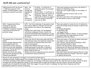| 1,800 ministers left the Church<br>$\rightarrow$ 1,000 were ejected in the<br>summer of 1662 (however, many<br>continued to preach in private).                                                                                                                                                                                    | $1666 -$ the<br>mood for<br>revenge was<br>beginning to<br>soften.<br>$1667 -$ the<br>first<br>Conventicle<br>Act expired.                                                                                                                                                                                                                                             | In 1669 - it is difficult to<br>generalise about the strength<br>of dissent.<br>Before 1669 - it is difficult to<br>generalise about the amount of<br>suffering. However, there is<br>significant evidence to suggest<br>that the worse of suffering<br>was over by 1669.                                                                                                          | There were growing concerns over the decline in<br>numbers of dissenting clergy.<br>There were not enough clergy for the number of<br>meetings.<br>Dissenters started to look at how to find<br>replacements.<br>This was in part due to the growing age of clergy.<br>No-one wanted to have to rely on laity.                                                                                                                                                                                 |
|------------------------------------------------------------------------------------------------------------------------------------------------------------------------------------------------------------------------------------------------------------------------------------------------------------------------------------|------------------------------------------------------------------------------------------------------------------------------------------------------------------------------------------------------------------------------------------------------------------------------------------------------------------------------------------------------------------------|------------------------------------------------------------------------------------------------------------------------------------------------------------------------------------------------------------------------------------------------------------------------------------------------------------------------------------------------------------------------------------|------------------------------------------------------------------------------------------------------------------------------------------------------------------------------------------------------------------------------------------------------------------------------------------------------------------------------------------------------------------------------------------------------------------------------------------------------------------------------------------------|
| 1669 - Heywood and others,<br>including the ejected<br>Presbyterian, Richard<br>Frankland, founded an Academy<br>to provide an education for<br>potential clergy.                                                                                                                                                                  | 1678 - the first ordination of new pastors took<br>place and by 1689 over 100 new recruits had<br>been added to the ranks of the dissenting<br>clergy.<br>Perhaps most importantly, the development<br>reflected a changing attitude, in which the<br>ejected Presbyterians were beginning to accept<br>an existence outside of the Church and plan for<br>the future. |                                                                                                                                                                                                                                                                                                                                                                                    | There were plans to revise the Act of Uniformity<br>which was already being introduced in 1669 by two<br>judges;<br>Sir Orlando Bridgeman,<br>Sir Matthew Hale,<br>and supported by;<br>John Wilkins, bishop of Chester. It was envisaged<br>this would allow the Comprehension of most<br>dissenters within the Church.                                                                                                                                                                       |
| This planned Act of Uniformity<br>failed.<br>Charles already demonstrated<br>some sympathy with non-<br>conformists in 1662, however,<br>effective action was impossible<br>due to anti-Puritan sentiment in<br>parliament and Church.<br>Despite this there were many<br>who found the persecution that<br>followed unacceptable. | rational and sensible.<br>whose family he married.                                                                                                                                                                                                                                                                                                                     | Within the Church there were many who held<br>Latitudinarian views, this signified a belief that<br>some variation of religious views were both<br>Bishop John Wilkins held such a view, his<br>background meant he was able to maintain a<br>good relationship with Oliver Cromwell. Into<br>Wilkins and others argued persecution was both<br>irrational and counter productive. | There were many in The Church whose views were<br>very similar to non-conformists.<br>John Tillotson, who became Archbishop in 1691,<br>had conformed himself in 1664.<br>Others from the wealthy classes including;<br>alderman and JPs shared the dissenters views even<br>though they were responsible for enforcing the law<br>against dissenters.<br>Early 1660 these men (and women) offered to help<br>individual ministers but found it difficult to speak<br>out against persecution. |

Charles II took advantage of changes to the political climate due to;

Changing attitudes, Disgust against the excesses of the law, The dignity with which many non-conformists bore their suffering. The fall of Clarendon in 1667 (unfairly blamed for the failings of the Dutch war as well as the code that bore his name, neither of which he supported), Charles appointed a group of close advisers who included two Catholics, one near-atheist, and two who had close associations with moderate Puritanism. With their support he now felt able to challenge the High Church Anglicans and their parliamentary allies for control of the policy.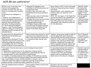| Within a year it was clear that<br>Charles' had misjudged the<br>situation. He had a war with the<br>Dutch on his hands and a financial<br>crisis.<br>He withdrew the Indulgence in<br>1673.<br>however, the foundations of<br>future development had been laid.<br>Sometimes the foundations were<br>physical; meeting houses and<br>education/ training academies.<br>For the Presbyterian majority<br>however, it was the psychological<br>impact of taking out a licence and<br>defining a ministry outside of the<br>national Church.                                                                                                                    | Although the Indulgence was<br>withdrawn in 1673 licences were not<br>recalled until 1675.<br>By which time there were well<br>established practices of worship in<br>place.<br>There was also a lack of enthusiasm<br>when persecution returned.<br>Although there were local variations<br>in Hull the Presbyterian and<br>Congregationalist groups<br>worshipped largely undisturbed,<br>even the close-by Quaker meetings<br>had intermittent problems at the<br>hands of individual clergy/JPs. | Some, Danby in 1676, tried to persuade<br>Charles to renew persecution, however,<br>this failed.<br>Charles argued - both dissenters and<br>Catholics were too numerous to be<br>supressed.<br>1678 - 83: the impact of the Popish Plot<br>and the Exclusion Crisis cemented the<br>alliance between the dissenters and<br>their Whig allies even more firmly, in a<br>development that ultimately backfired<br>for the dissenters. | 1682-83: Failed<br>Exclusion, Rye<br>House Plot and<br>collapse of Whig<br>support freed<br>Charles to pursue<br>his own agenda.<br>1. Renewed<br>attack on dissent<br>(and Whig power<br>associated with<br>them). |
|---------------------------------------------------------------------------------------------------------------------------------------------------------------------------------------------------------------------------------------------------------------------------------------------------------------------------------------------------------------------------------------------------------------------------------------------------------------------------------------------------------------------------------------------------------------------------------------------------------------------------------------------------------------|------------------------------------------------------------------------------------------------------------------------------------------------------------------------------------------------------------------------------------------------------------------------------------------------------------------------------------------------------------------------------------------------------------------------------------------------------------------------------------------------------|-------------------------------------------------------------------------------------------------------------------------------------------------------------------------------------------------------------------------------------------------------------------------------------------------------------------------------------------------------------------------------------------------------------------------------------|---------------------------------------------------------------------------------------------------------------------------------------------------------------------------------------------------------------------|
| In some areas the persecution of<br>1683-86 was the harshest ever<br>experienced.<br>Meetings were abandoned. It was<br>reported in paces such as Devon the<br>dissenting groups had ceased and<br>even Quakers only met in the most<br>remote of places to avoid detection.                                                                                                                                                                                                                                                                                                                                                                                  | When Charles then started to recall<br>and amend local administration and<br>MPs, it was feared that persecution<br>of dissenters might now get even<br>worse.                                                                                                                                                                                                                                                                                                                                       | However, persecution ceased in 1686-87<br>and the speed with which dissenters<br>returned indicated that persecution had<br>failed to rid the country of dissenters<br>instead it had merely put them hiding.<br>Dissenter chapels were stronger and<br>better organised and public opinion had<br>already shifted away from uniformity.                                                                                            | Earl of Plymouth<br>ordered his local<br>courts to enforce<br>laws against<br>dissenters with<br>'full rigour'.                                                                                                     |
| There were 3 factors which were crucial in helping the survival of<br>dissenters;<br>1. Commitment and dedication to the dissenters religious beliefs.<br>2. The level of support given by sympathisers (individuals and then an<br>increasing number of social and political organisations).<br>3. A number of mistakes made by their enemies. If Presbyterian desires<br>for more religious diversity had been allowed then there would have been<br>only a small number of more extreme dissenters. However, strict<br>uniformity meant the number of dissenters was high, large numbers<br>equaled a greater strength and higher possibility of survival. |                                                                                                                                                                                                                                                                                                                                                                                                                                                                                                      | It was widely believed that Catholics<br>wanted to destroy the Protestant<br>Church in England so if they were<br>tolerated then they would demand<br>equality and this would lead to the<br>destruction of the Church of England.                                                                                                                                                                                                  | Charles I married<br>Henrietta Maria<br>and allowed her<br>to continue being<br>a Catholic and<br>have her Catholic<br>clergy at court.                                                                             |
| 1624-25 complaints about Catholics<br>at court.                                                                                                                                                                                                                                                                                                                                                                                                                                                                                                                                                                                                               | Some wealthy Catholics had priests<br>live with them.                                                                                                                                                                                                                                                                                                                                                                                                                                                | Recusancy laws and restrictions on<br>Catholics were intermittent.                                                                                                                                                                                                                                                                                                                                                                  |                                                                                                                                                                                                                     |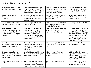| Foreign merchants in London<br>meant Catholicism still existed.                                                                     | Henrietta Maria encouraged<br>other Catholics to join her and<br>allowed her priests to officiate<br>outside her private chapel.                                                                      | Charles I promoted Arminians<br>in the Church and at court. He<br>made many bishops and<br>excluded Puritan nobility. | The Catholic painter, Rubens<br>was called upon to paint the<br>ceilings & rituals at Whitehall.                                                                                                                                                    |
|-------------------------------------------------------------------------------------------------------------------------------------|-------------------------------------------------------------------------------------------------------------------------------------------------------------------------------------------------------|-----------------------------------------------------------------------------------------------------------------------|-----------------------------------------------------------------------------------------------------------------------------------------------------------------------------------------------------------------------------------------------------|
| Charles allowed members of his<br>Privy Council to marry<br>Catholics.                                                              | Charles I children and a large<br>number of courtiers<br>worshipped in the queen's<br>Catholic chapel.                                                                                                | Charles I's closest companion<br>was the Catholic papal<br>ambassador,                                                | Puritans were harassed and<br>Catholics left alone during<br>Charles I's reign.                                                                                                                                                                     |
| Catholics benefitted from a<br>soap monopoly under Charles I.                                                                       | Those who protested were<br>punished harshly.                                                                                                                                                         | Charles I was believed to side<br>with the Irish & Pope during<br>the Civil War for help.                             | The Rump excluded Catholics.                                                                                                                                                                                                                        |
| Toleration Act of 1650 -<br>removed the requirement to<br>attend Anglican Church, but<br>Catholics were still not given<br>freedom. | August 1643 - law against<br>Catholics over 21 whereby they<br>had to swear an Oath of<br>Abjuration denying their<br>beliefs. If they refused they<br>had to hand over 2/3 of their<br>land & goods. | Catholics were required to pay<br>double the assessment tax<br>during the republican rule.                            | The Oath was reissued n 1656<br>with stricter terms and the<br>Act of Parliament which came<br>with it called for the closing<br>down of Catholic chapels in<br>foreign embassies, with a fine<br>of £100 for anyone caught<br>worshipping at them. |
| Many Catholics had their<br>estates confiscated after the<br>Civil War so conformed.                                                | 1654 - Cromwell issued an<br>order stating the laws issued<br>by Elizabeth I and James I<br>against Catholics were to be<br>continued.                                                                | 1655 - laws against Catholics in<br>the priesthood to be adhered<br>to.                                               | Cromwell was close friends<br>with Sir Digby, a Catholic.                                                                                                                                                                                           |
| In Lancashire authorities<br>turned a blind eye to Catholic<br>practices, which Cromwell was<br>well aware of.                      | Charles II rewarded Catholics<br>for faithful service and gave<br>them more freedom.                                                                                                                  | 1666 - rumours Catholics<br>started the Great Fire of<br>London.                                                      | 1668 - Charles II tried to<br>negotiate with Catholic France<br>to avoid invasion. His sister<br>was married to the French<br>king's brother.                                                                                                       |
| 1668 - Duke of York converted<br>to Catholicism.                                                                                    | 1670 - Charles entertained his<br>visiting sister & signed the<br>Treaty of Dover with France.<br>He also took a French mistress.                                                                     | Charles took subsidies from<br>Louis.                                                                                 | Charles made a secret pledge<br>to declare himself Catholic<br>when it was safe to do so.                                                                                                                                                           |